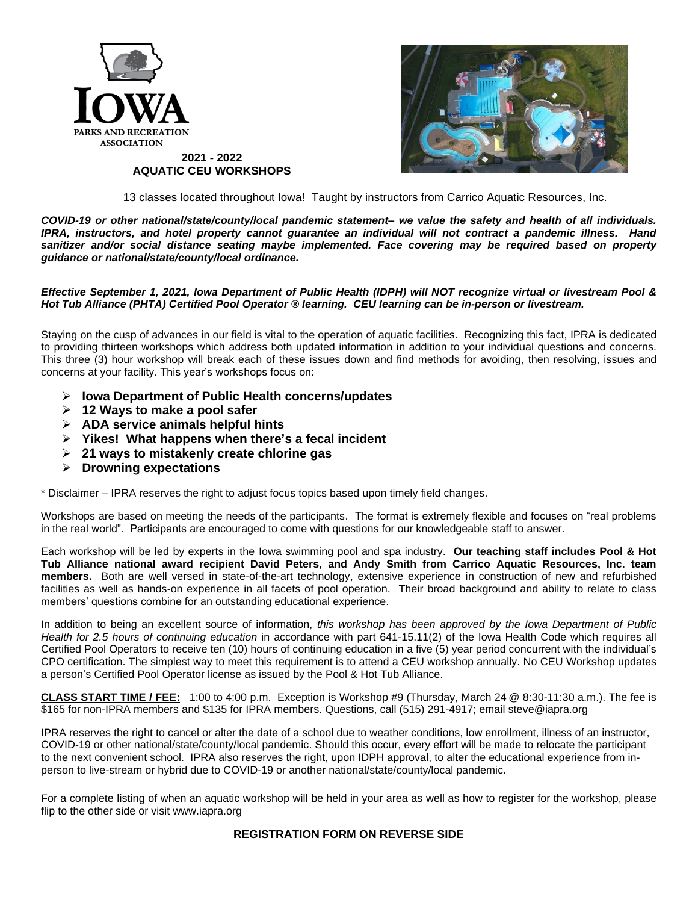

13 classes located throughout Iowa! Taught by instructors from Carrico Aquatic Resources, Inc.

*COVID-19 or other national/state/county/local pandemic statement– we value the safety and health of all individuals. IPRA, instructors, and hotel property cannot guarantee an individual will not contract a pandemic illness. Hand sanitizer and/or social distance seating maybe implemented. Face covering may be required based on property guidance or national/state/county/local ordinance.*

## *Effective September 1, 2021, Iowa Department of Public Health (IDPH) will NOT recognize virtual or livestream Pool & Hot Tub Alliance (PHTA) Certified Pool Operator ® learning. CEU learning can be in-person or livestream.*

Staying on the cusp of advances in our field is vital to the operation of aquatic facilities. Recognizing this fact, IPRA is dedicated to providing thirteen workshops which address both updated information in addition to your individual questions and concerns. This three (3) hour workshop will break each of these issues down and find methods for avoiding, then resolving, issues and concerns at your facility. This year's workshops focus on:

➢ **Iowa Department of Public Health concerns/updates**

**AQUATIC CEU WORKSHOPS**

- ➢ **12 Ways to make a pool safer**
- ➢ **ADA service animals helpful hints**
- ➢ **Yikes! What happens when there's a fecal incident**
- ➢ **21 ways to mistakenly create chlorine gas**
- ➢ **Drowning expectations**

\* Disclaimer – IPRA reserves the right to adjust focus topics based upon timely field changes.

Workshops are based on meeting the needs of the participants. The format is extremely flexible and focuses on "real problems in the real world". Participants are encouraged to come with questions for our knowledgeable staff to answer.

Each workshop will be led by experts in the Iowa swimming pool and spa industry. **Our teaching staff includes Pool & Hot Tub Alliance national award recipient David Peters, and Andy Smith from Carrico Aquatic Resources, Inc. team members.** Both are well versed in state-of-the-art technology, extensive experience in construction of new and refurbished facilities as well as hands-on experience in all facets of pool operation. Their broad background and ability to relate to class members' questions combine for an outstanding educational experience.

In addition to being an excellent source of information, *this workshop has been approved by the Iowa Department of Public Health for 2.5 hours of continuing education* in accordance with part 641-15.11(2) of the Iowa Health Code which requires all Certified Pool Operators to receive ten (10) hours of continuing education in a five (5) year period concurrent with the individual's CPO certification. The simplest way to meet this requirement is to attend a CEU workshop annually. No CEU Workshop updates a person's Certified Pool Operator license as issued by the Pool & Hot Tub Alliance.

**CLASS START TIME / FEE:** 1:00 to 4:00 p.m. Exception is Workshop #9 (Thursday, March 24 @ 8:30-11:30 a.m.). The fee is \$165 for non-IPRA members and \$135 for IPRA members. Questions, call (515) 291-4917; email [steve@iapra.org](mailto:steve@iapra.org)

IPRA reserves the right to cancel or alter the date of a school due to weather conditions, low enrollment, illness of an instructor, COVID-19 or other national/state/county/local pandemic. Should this occur, every effort will be made to relocate the participant to the next convenient school. IPRA also reserves the right, upon IDPH approval, to alter the educational experience from inperson to live-stream or hybrid due to COVID-19 or another national/state/county/local pandemic.

For a complete listing of when an aquatic workshop will be held in your area as well as how to register for the workshop, please flip to the other side or visit www.iapra.org

## **REGISTRATION FORM ON REVERSE SIDE**